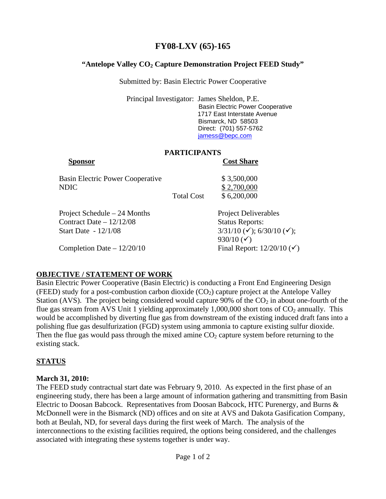## **FY08-LXV (65)-165**

## "Antelope Valley CO<sub>2</sub> Capture Demonstration Project FEED Study"

Submitted by: Basin Electric Power Cooperative

Principal Investigator: James Sheldon, P.E. Basin Electric Power Cooperative 1717 East Interstate Avenue Bismarck, ND 58503 Direct: (701) 557-5762 jamess@bepc.com

## **PARTICIPANTS**

# **Sponsor** Cost Share Basin Electric Power Cooperative \$ 3,500,000 NDIC \$2,700,000 Total Cost \$ 6,200,000 Project Schedule – 24 Months Project Deliverables Contract Date – 12/12/08 Status Reports: Start Date -  $12/1/08$  3/31/10 ( $\checkmark$ ); 6/30/10 ( $\checkmark$ ); 930/10  $({\checkmark})$ Completion Date –  $12/20/10$  Final Report:  $12/20/10 \, (\checkmark)$

#### **OBJECTIVE / STATEMENT OF WORK**

Basin Electric Power Cooperative (Basin Electric) is conducting a Front End Engineering Design (FEED) study for a post-combustion carbon dioxide  $(CO<sub>2</sub>)$  capture project at the Antelope Valley Station (AVS). The project being considered would capture 90% of the  $CO<sub>2</sub>$  in about one-fourth of the flue gas stream from AVS Unit 1 yielding approximately  $1,000,000$  short tons of  $CO<sub>2</sub>$  annually. This would be accomplished by diverting flue gas from downstream of the existing induced draft fans into a polishing flue gas desulfurization (FGD) system using ammonia to capture existing sulfur dioxide. Then the flue gas would pass through the mixed amine  $CO<sub>2</sub>$  capture system before returning to the existing stack.

## **STATUS**

#### **March 31, 2010:**

The FEED study contractual start date was February 9, 2010. As expected in the first phase of an engineering study, there has been a large amount of information gathering and transmitting from Basin Electric to Doosan Babcock. Representatives from Doosan Babcock, HTC Purenergy, and Burns & McDonnell were in the Bismarck (ND) offices and on site at AVS and Dakota Gasification Company, both at Beulah, ND, for several days during the first week of March. The analysis of the interconnections to the existing facilities required, the options being considered, and the challenges associated with integrating these systems together is under way.